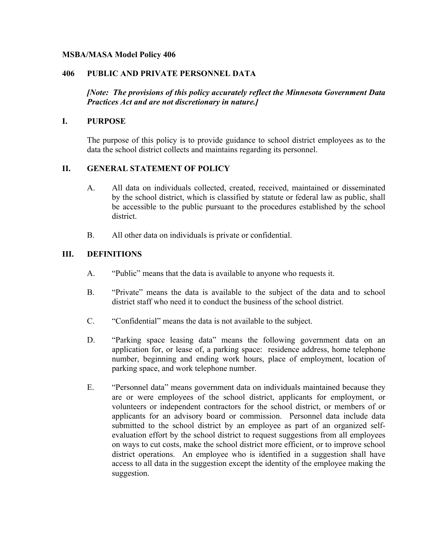### **MSBA/MASA Model Policy 406**

### **406 PUBLIC AND PRIVATE PERSONNEL DATA**

*[Note: The provisions of this policy accurately reflect the Minnesota Government Data Practices Act and are not discretionary in nature.]* 

#### **I. PURPOSE**

The purpose of this policy is to provide guidance to school district employees as to the data the school district collects and maintains regarding its personnel.

### **II. GENERAL STATEMENT OF POLICY**

- A. All data on individuals collected, created, received, maintained or disseminated by the school district, which is classified by statute or federal law as public, shall be accessible to the public pursuant to the procedures established by the school district.
- B. All other data on individuals is private or confidential.

### **III. DEFINITIONS**

- A. "Public" means that the data is available to anyone who requests it.
- B. "Private" means the data is available to the subject of the data and to school district staff who need it to conduct the business of the school district.
- C. "Confidential" means the data is not available to the subject.
- D. "Parking space leasing data" means the following government data on an application for, or lease of, a parking space: residence address, home telephone number, beginning and ending work hours, place of employment, location of parking space, and work telephone number.
- E. "Personnel data" means government data on individuals maintained because they are or were employees of the school district, applicants for employment, or volunteers or independent contractors for the school district, or members of or applicants for an advisory board or commission. Personnel data include data submitted to the school district by an employee as part of an organized selfevaluation effort by the school district to request suggestions from all employees on ways to cut costs, make the school district more efficient, or to improve school district operations. An employee who is identified in a suggestion shall have access to all data in the suggestion except the identity of the employee making the suggestion.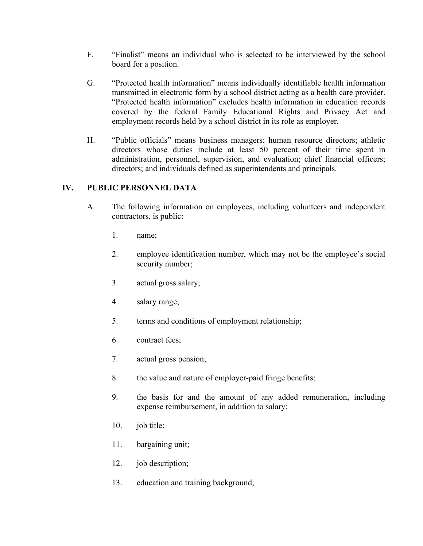- F. "Finalist" means an individual who is selected to be interviewed by the school board for a position.
- G. "Protected health information" means individually identifiable health information transmitted in electronic form by a school district acting as a health care provider. "Protected health information" excludes health information in education records covered by the federal Family Educational Rights and Privacy Act and employment records held by a school district in its role as employer.
- H. "Public officials" means business managers; human resource directors; athletic directors whose duties include at least 50 percent of their time spent in administration, personnel, supervision, and evaluation; chief financial officers; directors; and individuals defined as superintendents and principals.

## **IV. PUBLIC PERSONNEL DATA**

- A. The following information on employees, including volunteers and independent contractors, is public:
	- 1. name;
	- 2. employee identification number, which may not be the employee's social security number;
	- 3. actual gross salary;
	- 4. salary range;
	- 5. terms and conditions of employment relationship;
	- 6. contract fees;
	- 7. actual gross pension;
	- 8. the value and nature of employer-paid fringe benefits;
	- 9. the basis for and the amount of any added remuneration, including expense reimbursement, in addition to salary;
	- 10. job title;
	- 11. bargaining unit;
	- 12. job description;
	- 13. education and training background;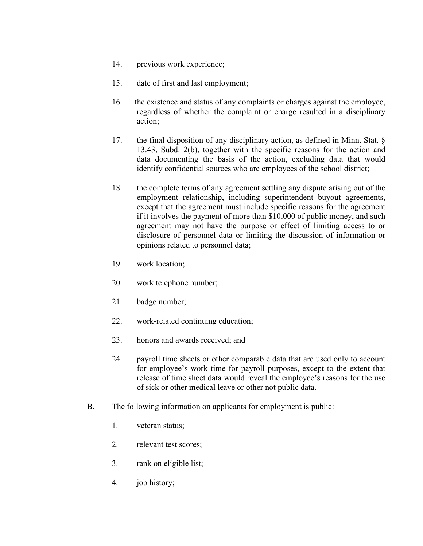- 14. previous work experience;
- 15. date of first and last employment;
- 16. the existence and status of any complaints or charges against the employee, regardless of whether the complaint or charge resulted in a disciplinary action;
- 17. the final disposition of any disciplinary action, as defined in Minn. Stat. § 13.43, Subd. 2(b), together with the specific reasons for the action and data documenting the basis of the action, excluding data that would identify confidential sources who are employees of the school district;
- 18. the complete terms of any agreement settling any dispute arising out of the employment relationship, including superintendent buyout agreements, except that the agreement must include specific reasons for the agreement if it involves the payment of more than \$10,000 of public money, and such agreement may not have the purpose or effect of limiting access to or disclosure of personnel data or limiting the discussion of information or opinions related to personnel data;
- 19. work location;
- 20. work telephone number;
- 21. badge number;
- 22. work-related continuing education;
- 23. honors and awards received; and
- 24. payroll time sheets or other comparable data that are used only to account for employee's work time for payroll purposes, except to the extent that release of time sheet data would reveal the employee's reasons for the use of sick or other medical leave or other not public data.
- B. The following information on applicants for employment is public:
	- 1. veteran status;
	- 2. relevant test scores;
	- 3. rank on eligible list;
	- 4. job history;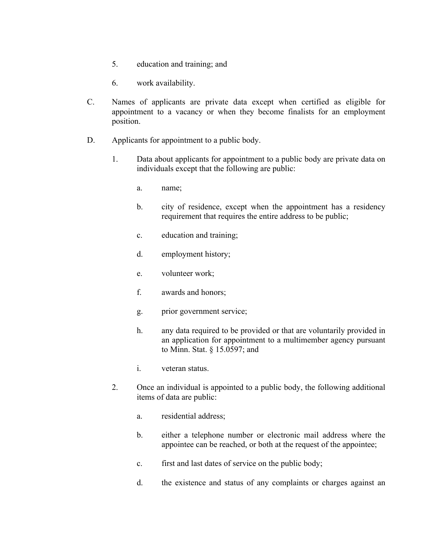- 5. education and training; and
- 6. work availability.
- C. Names of applicants are private data except when certified as eligible for appointment to a vacancy or when they become finalists for an employment position.
- D. Applicants for appointment to a public body.
	- 1. Data about applicants for appointment to a public body are private data on individuals except that the following are public:
		- a. name;
		- b. city of residence, except when the appointment has a residency requirement that requires the entire address to be public;
		- c. education and training;
		- d. employment history;
		- e. volunteer work;
		- f. awards and honors;
		- g. prior government service;
		- h. any data required to be provided or that are voluntarily provided in an application for appointment to a multimember agency pursuant to Minn. Stat. § 15.0597; and
		- i. veteran status.
	- 2. Once an individual is appointed to a public body, the following additional items of data are public:
		- a. residential address;
		- b. either a telephone number or electronic mail address where the appointee can be reached, or both at the request of the appointee;
		- c. first and last dates of service on the public body;
		- d. the existence and status of any complaints or charges against an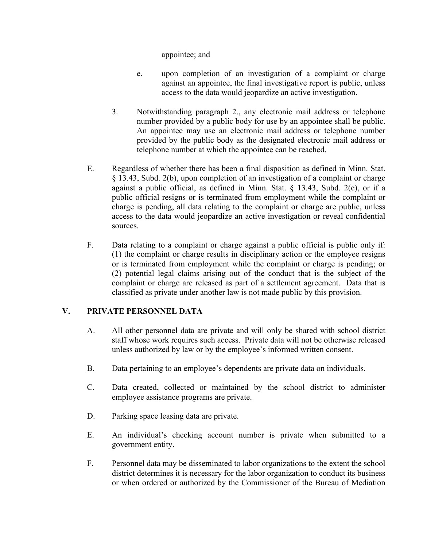appointee; and

- e. upon completion of an investigation of a complaint or charge against an appointee, the final investigative report is public, unless access to the data would jeopardize an active investigation.
- 3. Notwithstanding paragraph 2., any electronic mail address or telephone number provided by a public body for use by an appointee shall be public. An appointee may use an electronic mail address or telephone number provided by the public body as the designated electronic mail address or telephone number at which the appointee can be reached.
- E. Regardless of whether there has been a final disposition as defined in Minn. Stat. § 13.43, Subd. 2(b), upon completion of an investigation of a complaint or charge against a public official, as defined in Minn. Stat. § 13.43, Subd. 2(e), or if a public official resigns or is terminated from employment while the complaint or charge is pending, all data relating to the complaint or charge are public, unless access to the data would jeopardize an active investigation or reveal confidential sources.
- F. Data relating to a complaint or charge against a public official is public only if: (1) the complaint or charge results in disciplinary action or the employee resigns or is terminated from employment while the complaint or charge is pending; or (2) potential legal claims arising out of the conduct that is the subject of the complaint or charge are released as part of a settlement agreement. Data that is classified as private under another law is not made public by this provision.

### **V. PRIVATE PERSONNEL DATA**

- A. All other personnel data are private and will only be shared with school district staff whose work requires such access. Private data will not be otherwise released unless authorized by law or by the employee's informed written consent.
- B. Data pertaining to an employee's dependents are private data on individuals.
- C. Data created, collected or maintained by the school district to administer employee assistance programs are private.
- D. Parking space leasing data are private.
- E. An individual's checking account number is private when submitted to a government entity.
- F. Personnel data may be disseminated to labor organizations to the extent the school district determines it is necessary for the labor organization to conduct its business or when ordered or authorized by the Commissioner of the Bureau of Mediation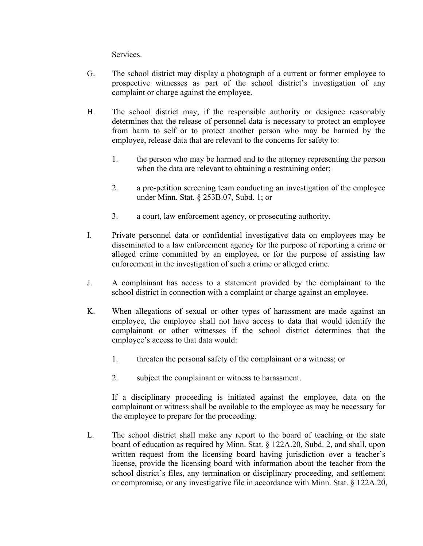Services.

- G. The school district may display a photograph of a current or former employee to prospective witnesses as part of the school district's investigation of any complaint or charge against the employee.
- H. The school district may, if the responsible authority or designee reasonably determines that the release of personnel data is necessary to protect an employee from harm to self or to protect another person who may be harmed by the employee, release data that are relevant to the concerns for safety to:
	- 1. the person who may be harmed and to the attorney representing the person when the data are relevant to obtaining a restraining order;
	- 2. a pre-petition screening team conducting an investigation of the employee under Minn. Stat. § 253B.07, Subd. 1; or
	- 3. a court, law enforcement agency, or prosecuting authority.
- I. Private personnel data or confidential investigative data on employees may be disseminated to a law enforcement agency for the purpose of reporting a crime or alleged crime committed by an employee, or for the purpose of assisting law enforcement in the investigation of such a crime or alleged crime.
- J. A complainant has access to a statement provided by the complainant to the school district in connection with a complaint or charge against an employee.
- K. When allegations of sexual or other types of harassment are made against an employee, the employee shall not have access to data that would identify the complainant or other witnesses if the school district determines that the employee's access to that data would:
	- 1. threaten the personal safety of the complainant or a witness; or
	- 2. subject the complainant or witness to harassment.

If a disciplinary proceeding is initiated against the employee, data on the complainant or witness shall be available to the employee as may be necessary for the employee to prepare for the proceeding.

L. The school district shall make any report to the board of teaching or the state board of education as required by Minn. Stat. § 122A.20, Subd. 2, and shall, upon written request from the licensing board having jurisdiction over a teacher's license, provide the licensing board with information about the teacher from the school district's files, any termination or disciplinary proceeding, and settlement or compromise, or any investigative file in accordance with Minn. Stat. § 122A.20,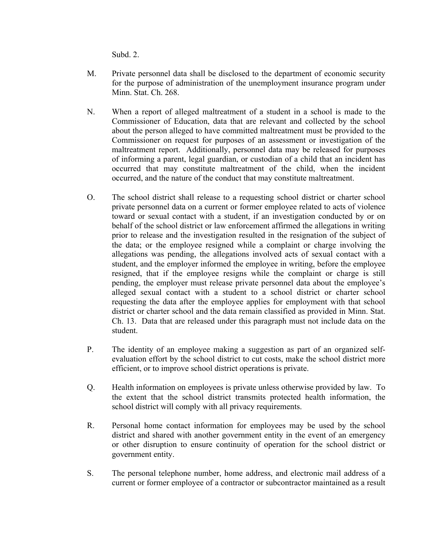Subd. 2.

- M. Private personnel data shall be disclosed to the department of economic security for the purpose of administration of the unemployment insurance program under Minn. Stat. Ch. 268.
- N. When a report of alleged maltreatment of a student in a school is made to the Commissioner of Education, data that are relevant and collected by the school about the person alleged to have committed maltreatment must be provided to the Commissioner on request for purposes of an assessment or investigation of the maltreatment report. Additionally, personnel data may be released for purposes of informing a parent, legal guardian, or custodian of a child that an incident has occurred that may constitute maltreatment of the child, when the incident occurred, and the nature of the conduct that may constitute maltreatment.
- O. The school district shall release to a requesting school district or charter school private personnel data on a current or former employee related to acts of violence toward or sexual contact with a student, if an investigation conducted by or on behalf of the school district or law enforcement affirmed the allegations in writing prior to release and the investigation resulted in the resignation of the subject of the data; or the employee resigned while a complaint or charge involving the allegations was pending, the allegations involved acts of sexual contact with a student, and the employer informed the employee in writing, before the employee resigned, that if the employee resigns while the complaint or charge is still pending, the employer must release private personnel data about the employee's alleged sexual contact with a student to a school district or charter school requesting the data after the employee applies for employment with that school district or charter school and the data remain classified as provided in Minn. Stat. Ch. 13. Data that are released under this paragraph must not include data on the student.
- P. The identity of an employee making a suggestion as part of an organized selfevaluation effort by the school district to cut costs, make the school district more efficient, or to improve school district operations is private.
- Q. Health information on employees is private unless otherwise provided by law. To the extent that the school district transmits protected health information, the school district will comply with all privacy requirements.
- R. Personal home contact information for employees may be used by the school district and shared with another government entity in the event of an emergency or other disruption to ensure continuity of operation for the school district or government entity.
- S. The personal telephone number, home address, and electronic mail address of a current or former employee of a contractor or subcontractor maintained as a result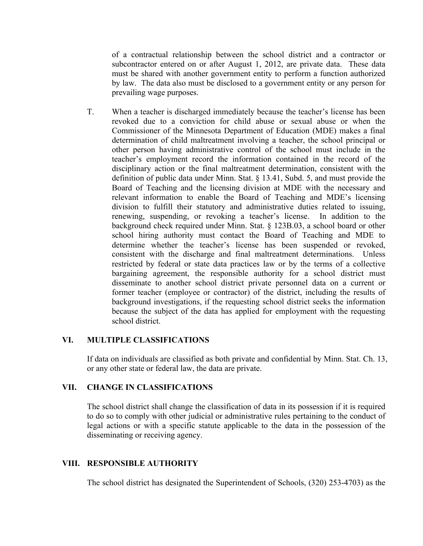of a contractual relationship between the school district and a contractor or subcontractor entered on or after August 1, 2012, are private data. These data must be shared with another government entity to perform a function authorized by law. The data also must be disclosed to a government entity or any person for prevailing wage purposes.

T. When a teacher is discharged immediately because the teacher's license has been revoked due to a conviction for child abuse or sexual abuse or when the Commissioner of the Minnesota Department of Education (MDE) makes a final determination of child maltreatment involving a teacher, the school principal or other person having administrative control of the school must include in the teacher's employment record the information contained in the record of the disciplinary action or the final maltreatment determination, consistent with the definition of public data under Minn. Stat. § 13.41, Subd. 5, and must provide the Board of Teaching and the licensing division at MDE with the necessary and relevant information to enable the Board of Teaching and MDE's licensing division to fulfill their statutory and administrative duties related to issuing, renewing, suspending, or revoking a teacher's license. In addition to the background check required under Minn. Stat. § 123B.03, a school board or other school hiring authority must contact the Board of Teaching and MDE to determine whether the teacher's license has been suspended or revoked, consistent with the discharge and final maltreatment determinations. Unless restricted by federal or state data practices law or by the terms of a collective bargaining agreement, the responsible authority for a school district must disseminate to another school district private personnel data on a current or former teacher (employee or contractor) of the district, including the results of background investigations, if the requesting school district seeks the information because the subject of the data has applied for employment with the requesting school district.

### **VI. MULTIPLE CLASSIFICATIONS**

If data on individuals are classified as both private and confidential by Minn. Stat. Ch. 13, or any other state or federal law, the data are private.

### **VII. CHANGE IN CLASSIFICATIONS**

The school district shall change the classification of data in its possession if it is required to do so to comply with other judicial or administrative rules pertaining to the conduct of legal actions or with a specific statute applicable to the data in the possession of the disseminating or receiving agency.

### **VIII. RESPONSIBLE AUTHORITY**

The school district has designated the Superintendent of Schools, (320) 253-4703) as the